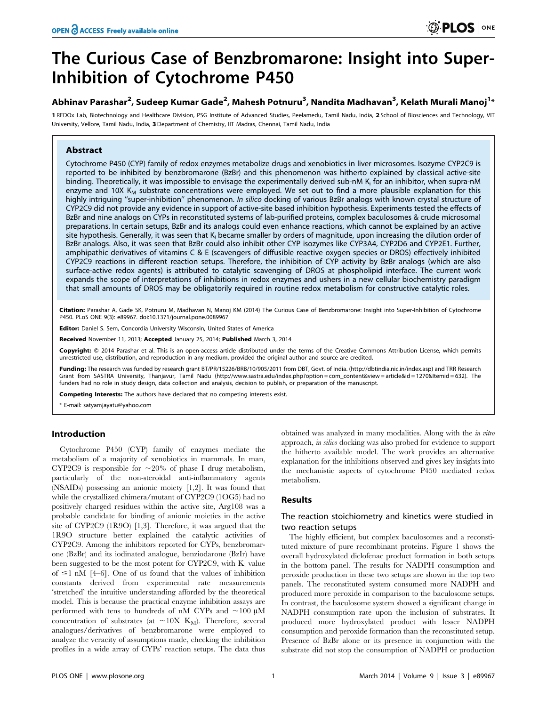# The Curious Case of Benzbromarone: Insight into Super-Inhibition of Cytochrome P450

Abhinav Parashar<sup>2</sup>, Sudeep Kumar Gade<sup>2</sup>, Mahesh Potnuru<sup>3</sup>, Nandita Madhavan<sup>3</sup>, Kelath Murali Manoj<sup>1</sup>\*

1 REDOx Lab, Biotechnology and Healthcare Division, PSG Institute of Advanced Studies, Peelamedu, Tamil Nadu, India, 2 School of Biosciences and Technology, VIT University, Vellore, Tamil Nadu, India, 3 Department of Chemistry, IIT Madras, Chennai, Tamil Nadu, India

# Abstract

Cytochrome P450 (CYP) family of redox enzymes metabolize drugs and xenobiotics in liver microsomes. Isozyme CYP2C9 is reported to be inhibited by benzbromarone (BzBr) and this phenomenon was hitherto explained by classical active-site binding. Theoretically, it was impossible to envisage the experimentally derived sub-nM K<sub>i</sub> for an inhibitor, when supra-nM enzyme and 10X  $K_M$  substrate concentrations were employed. We set out to find a more plausible explanation for this highly intriguing "super-inhibition" phenomenon. In silico docking of various BzBr analogs with known crystal structure of CYP2C9 did not provide any evidence in support of active-site based inhibition hypothesis. Experiments tested the effects of BzBr and nine analogs on CYPs in reconstituted systems of lab-purified proteins, complex baculosomes & crude microsomal preparations. In certain setups, BzBr and its analogs could even enhance reactions, which cannot be explained by an active site hypothesis. Generally, it was seen that K<sub>i</sub> became smaller by orders of magnitude, upon increasing the dilution order of BzBr analogs. Also, it was seen that BzBr could also inhibit other CYP isozymes like CYP3A4, CYP2D6 and CYP2E1. Further, amphipathic derivatives of vitamins C & E (scavengers of diffusible reactive oxygen species or DROS) effectively inhibited CYP2C9 reactions in different reaction setups. Therefore, the inhibition of CYP activity by BzBr analogs (which are also surface-active redox agents) is attributed to catalytic scavenging of DROS at phospholipid interface. The current work expands the scope of interpretations of inhibitions in redox enzymes and ushers in a new cellular biochemistry paradigm that small amounts of DROS may be obligatorily required in routine redox metabolism for constructive catalytic roles.

Citation: Parashar A, Gade SK, Potnuru M, Madhavan N, Manoj KM (2014) The Curious Case of Benzbromarone: Insight into Super-Inhibition of Cytochrome P450. PLoS ONE 9(3): e89967. doi:10.1371/journal.pone.0089967

Editor: Daniel S. Sem, Concordia University Wisconsin, United States of America

Received November 11, 2013; Accepted January 25, 2014; Published March 3, 2014

Copyright: © 2014 Parashar et al. This is an open-access article distributed under the terms of the [Creative Commons Attribution License,](http://creativecommons.org/licenses/by/4.0/) which permits unrestricted use, distribution, and reproduction in any medium, provided the original author and source are credited.

Funding: The research was funded by research grant BT/PR/15226/BRB/10/905/2011 from DBT, Govt. of India. (http://dbtindia.nic.in/index.asp) and TRR Research Grant from SASTRA University, Thanjavur, Tamil Nadu (http://www.sastra.edu/index.php?option = com\_content&view = article&id = 1270&Itemid = 632). The funders had no role in study design, data collection and analysis, decision to publish, or preparation of the manuscript.

Competing Interests: The authors have declared that no competing interests exist.

\* E-mail: satyamjayatu@yahoo.com

## Introduction

Cytochrome P450 (CYP) family of enzymes mediate the metabolism of a majority of xenobiotics in mammals. In man, CYP2C9 is responsible for  $\sim 20\%$  of phase I drug metabolism, particularly of the non-steroidal anti-inflammatory agents (NSAIDs) possessing an anionic moiety [1,2]. It was found that while the crystallized chimera/mutant of CYP2C9 (1OG5) had no positively charged residues within the active site, Arg108 was a probable candidate for binding of anionic moieties in the active site of CYP2C9 (1R9O) [1,3]. Therefore, it was argued that the 1R9O structure better explained the catalytic activities of CYP2C9. Among the inhibitors reported for CYPs, benzbromarone (BzBr) and its iodinated analogue, benziodarone (BzIr) have been suggested to be the most potent for CYP2C9, with  $K_i$  value of  $\leq$  1 nM [4–6]. One of us found that the values of inhibition constants derived from experimental rate measurements 'stretched' the intuitive understanding afforded by the theoretical model. This is because the practical enzyme inhibition assays are performed with tens to hundreds of nM CYPs and  $\sim$ 100  $\mu$ M concentration of substrates (at  $\sim$ 10X K<sub>M</sub>). Therefore, several analogues/derivatives of benzbromarone were employed to analyze the veracity of assumptions made, checking the inhibition profiles in a wide array of CYPs' reaction setups. The data thus

obtained was analyzed in many modalities. Along with the in vitro approach, in silico docking was also probed for evidence to support the hitherto available model. The work provides an alternative explanation for the inhibitions observed and gives key insights into the mechanistic aspects of cytochrome P450 mediated redox metabolism.

## Results

# The reaction stoichiometry and kinetics were studied in two reaction setups

The highly efficient, but complex baculosomes and a reconstituted mixture of pure recombinant proteins. Figure 1 shows the overall hydroxylated diclofenac product formation in both setups in the bottom panel. The results for NADPH consumption and peroxide production in these two setups are shown in the top two panels. The reconstituted system consumed more NADPH and produced more peroxide in comparison to the baculosome setups. In contrast, the baculosome system showed a significant change in NADPH consumption rate upon the inclusion of substrates. It produced more hydroxylated product with lesser NADPH consumption and peroxide formation than the reconstituted setup. Presence of BzBr alone or its presence in conjunction with the substrate did not stop the consumption of NADPH or production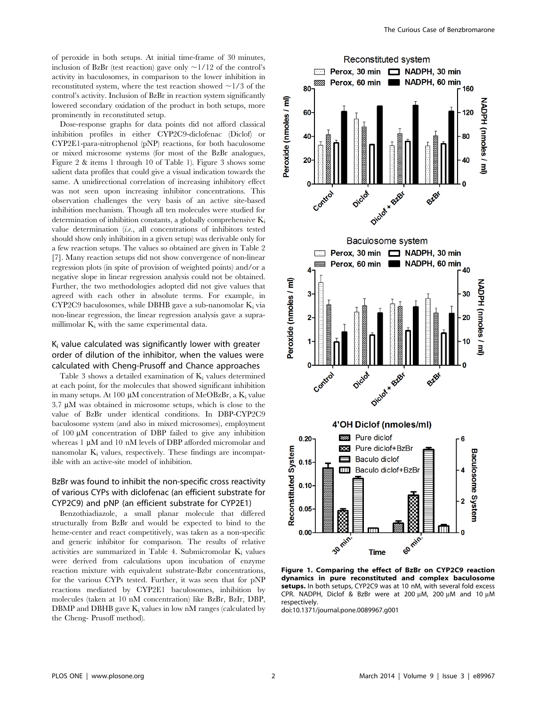of peroxide in both setups. At initial time-frame of 30 minutes, inclusion of BzBr (test reaction) gave only  $\sim$ 1/12 of the control's activity in baculosomes, in comparison to the lower inhibition in reconstituted system, where the test reaction showed  $\sim$ 1/3 of the control's activity. Inclusion of BzBr in reaction system significantly lowered secondary oxidation of the product in both setups, more prominently in reconstituted setup.

Dose-response graphs for data points did not afford classical inhibition profiles in either CYP2C9-diclofenac (Diclof) or CYP2E1-para-nitrophenol (pNP) reactions, for both baculosome or mixed microsome systems (for most of the BzBr analogues, Figure 2 & items 1 through 10 of Table 1). Figure 3 shows some salient data profiles that could give a visual indication towards the same. A unidirectional correlation of increasing inhibitory effect was not seen upon increasing inhibitor concentrations. This observation challenges the very basis of an active site-based inhibition mechanism. Though all ten molecules were studied for determination of inhibition constants, a globally comprehensive  $K_i$ value determination (i.e., all concentrations of inhibitors tested should show only inhibition in a given setup) was derivable only for a few reaction setups. The values so obtained are given in Table 2 [7]. Many reaction setups did not show convergence of non-linear regression plots (in spite of provision of weighted points) and/or a negative slope in linear regression analysis could not be obtained. Further, the two methodologies adopted did not give values that agreed with each other in absolute terms. For example, in CYP2C9 baculosomes, while DBHB gave a sub-nanomolar  $K_i$  via non-linear regression, the linear regression analysis gave a supramillimolar  $K_i$  with the same experimental data.

# $K<sub>i</sub>$  value calculated was significantly lower with greater order of dilution of the inhibitor, when the values were calculated with Cheng-Prusoff and Chance approaches

Table 3 shows a detailed examination of  $K_i$  values determined at each point, for the molecules that showed significant inhibition in many setups. At 100  $\mu$ M concentration of MeOBzBr, a K<sub>i</sub> value  $3.7 \mu M$  was obtained in microsome setups, which is close to the value of BzBr under identical conditions. In DBP-CYP2C9 baculosome system (and also in mixed microsomes), employment of  $100 \mu M$  concentration of DBP failed to give any inhibition whereas 1  $\mu$ M and 10 nM levels of DBP afforded micromolar and nanomolar  $K_i$  values, respectively. These findings are incompatible with an active-site model of inhibition.

# BzBr was found to inhibit the non-specific cross reactivity of various CYPs with diclofenac (an efficient substrate for CYP2C9) and pNP (an efficient substrate for CYP2E1)

Benzothiadiazole, a small planar molecule that differed structurally from BzBr and would be expected to bind to the heme-center and react competitively, was taken as a non-specific and generic inhibitor for comparison. The results of relative activities are summarized in Table 4. Submicromolar  $K_i$  values were derived from calculations upon incubation of enzyme reaction mixture with equivalent substrate-Bzbr concentrations, for the various CYPs tested. Further, it was seen that for pNP reactions mediated by CYP2E1 baculosomes, inhibition by molecules (taken at 10 nM concentration) like BzBr, BzIr, DBP, DBMP and DBHB gave  $K_i$  values in low nM ranges (calculated by the Cheng- Prusoff method).



Figure 1. Comparing the effect of BzBr on CYP2C9 reaction dynamics in pure reconstituted and complex baculosome setups. In both setups, CYP2C9 was at 10 nM, with several fold excess CPR. NADPH, Diclof & BzBr were at 200  $\mu$ M, 200  $\mu$ M and 10  $\mu$ M respectively.

doi:10.1371/journal.pone.0089967.g001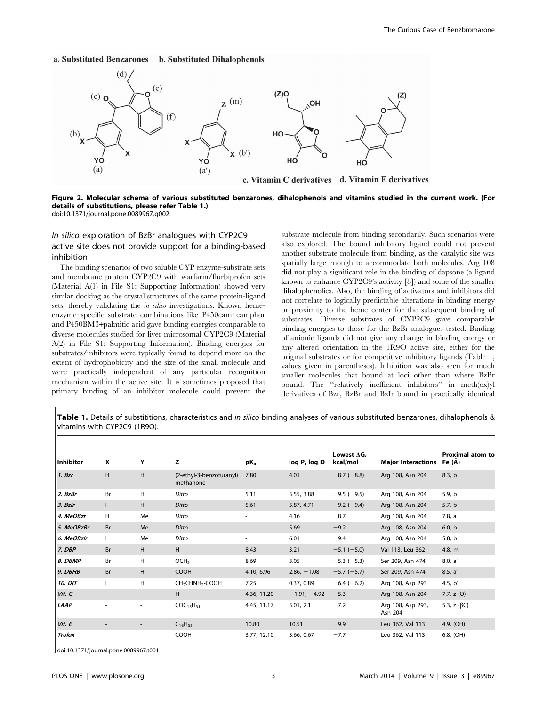### a. Substituted Benzarones b. Substituted Dihalophenols



c. Vitamin C derivatives d. Vitamin E derivatives

Figure 2. Molecular schema of various substituted benzarones, dihalophenols and vitamins studied in the current work. (For details of substitutions, please refer Table 1.)

doi:10.1371/journal.pone.0089967.g002

# In silico exploration of BzBr analogues with CYP2C9 active site does not provide support for a binding-based inhibition

The binding scenarios of two soluble CYP enzyme-substrate sets and membrane protein CYP2C9 with warfarin/flurbiprofen sets (Material A(1) in File S1: Supporting Information) showed very similar docking as the crystal structures of the same protein-ligand sets, thereby validating the *in silico* investigations. Known hemeenzyme+specific substrate combinations like P450cam+camphor and P450BM3+palmitic acid gave binding energies comparable to diverse molecules studied for liver microsomal CYP2C9 (Material A(2) in File S1: Supporting Information). Binding energies for substrates/inhibitors were typically found to depend more on the extent of hydrophobicity and the size of the small molecule and were practically independent of any particular recognition mechanism within the active site. It is sometimes proposed that primary binding of an inhibitor molecule could prevent the substrate molecule from binding secondarily. Such scenarios were also explored. The bound inhibitory ligand could not prevent another substrate molecule from binding, as the catalytic site was spatially large enough to accommodate both molecules. Arg 108 did not play a significant role in the binding of dapsone (a ligand known to enhance CYP2C9's activity [8]) and some of the smaller dihalophenolics. Also, the binding of activators and inhibitors did not correlate to logically predictable alterations in binding energy or proximity to the heme center for the subsequent binding of substrates. Diverse substrates of CYP2C9 gave comparable binding energies to those for the BzBr analogues tested. Binding of anionic ligands did not give any change in binding energy or any altered orientation in the 1R9O active site, either for the original substrates or for competitive inhibitory ligands (Table 1, values given in parentheses). Inhibition was also seen for much smaller molecules that bound at loci other than where BzBr bound. The ''relatively inefficient inhibitors'' in meth(ox)yl derivatives of Bzr, BzBr and BzIr bound in practically identical

Table 1. Details of substititions, characteristics and in silico binding analyses of various substituted benzarones, dihalophenols & vitamins with CYP2C9 (1R9O).

| <b>Inhibitor</b>      | x                        | Υ                        | z                                       | pK <sub>a</sub> | log P, log D   | Lowest $\Delta G$ ,<br>kcal/mol | <b>Major Interactions</b>    | <b>Proximal atom to</b><br>Fe (A) |
|-----------------------|--------------------------|--------------------------|-----------------------------------------|-----------------|----------------|---------------------------------|------------------------------|-----------------------------------|
| 1. Bzr                | H                        | H                        | (2-ethyl-3-benzofuranyl)<br>methanone   | 7.80            | 4.01           | $-8.7$ ( $-8.8$ )               | Arg 108, Asn 204             | 8.3, b                            |
| 2. BzBr               | Br                       | H                        | Ditto                                   | 5.11            | 5.55, 3.88     | $-9.5$ ( $-9.5$ )               | Arg 108, Asn 204             | 5.9, b                            |
| 3. Bzlr               |                          | H                        | Ditto                                   | 5.61            | 5.87, 4.71     | $-9.2$ (-9.4)                   | Arg 108, Asn 204             | 5.7, b                            |
| 4. MeOBzr             | H.                       | Me                       | Ditto                                   | ٠               | 4.16           | $-8.7$                          | Arg 108, Asn 204             | 7.8, a                            |
| 5. MeOBzBr            | <b>Br</b>                | Me                       | Ditto                                   |                 | 5.69           | $-9.2$                          | Arg 108, Asn 204             | 6.0, b                            |
| 6. MeOBzlr            |                          | Me                       | Ditto                                   | ٠               | 6.01           | $-9.4$                          | Arg 108, Asn 204             | 5.8, b                            |
| 7. DBP                | <b>Br</b>                | H                        | H                                       | 8.43            | 3.21           | $-5.1$ ( $-5.0$ )               | Val 113, Leu 362             | 4.8, $m$                          |
| 8. DBMP               | Br                       | H                        | OCH <sub>3</sub>                        | 8.69            | 3.05           | $-5.3$ ( $-5.3$ )               | Ser 209, Asn 474             | 8.0, a'                           |
| 9. DBHB               | <b>Br</b>                | H                        | <b>COOH</b>                             | 4.10, 6.96      | $2.86, -1.08$  | $-5.7$ ( $-5.7$ )               | Ser 209, Asn 474             | 8.5, a'                           |
| <i><b>10. DIT</b></i> |                          | н                        | CH <sub>2</sub> CHNH <sub>2</sub> -COOH | 7.25            | 0.37, 0.89     | $-6.4$ (-6.2)                   | Arg 108, Asp 293             | 4.5, $b'$                         |
| Vit. C                | $\overline{\phantom{a}}$ | $\overline{\phantom{a}}$ | H                                       | 4.36, 11.20     | $-1.91, -4.92$ | $-5.3$                          | Arg 108, Asn 204             | 7.7, $z(0)$                       |
| LAAP                  | ٠                        | ٠                        | COC <sub>15</sub> H <sub>31</sub>       | 4.45, 11.17     | 5.01, 2.1      | $-7.2$                          | Arg 108, Asp 293,<br>Asn 204 | 5.3, z $(\beta C)$                |
| Vit. E                | $\overline{\phantom{a}}$ | $\overline{\phantom{a}}$ | $C_{16}H_{33}$                          | 10.80           | 10.51          | $-9.9$                          | Leu 362, Val 113             | 4.9, (OH)                         |
| <b>Trolox</b>         |                          | ٠                        | <b>COOH</b>                             | 3.77, 12.10     | 3.66, 0.67     | $-7.7$                          | Leu 362, Val 113             | 6.8, (OH)                         |

doi:10.1371/journal.pone.0089967.t001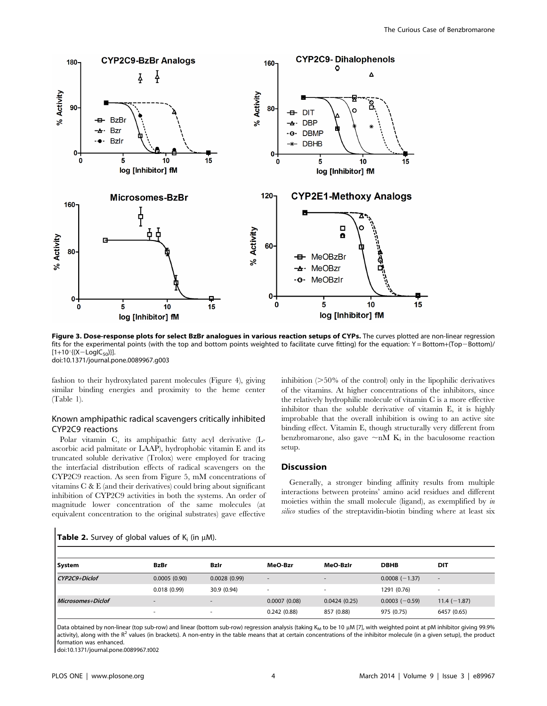

Figure 3. Dose-response plots for select BzBr analogues in various reaction setups of CYPs. The curves plotted are non-linear regression fits for the experimental points (with the top and bottom points weighted to facilitate curve fitting) for the equation: Y = Bottom+(Top-Bottom)/  $[1+10\frac{1}{X}-LogIC_{50}]$ . doi:10.1371/journal.pone.0089967.g003

fashion to their hydroxylated parent molecules (Figure 4), giving similar binding energies and proximity to the heme center (Table 1).

## Known amphipathic radical scavengers critically inhibited CYP2C9 reactions

Polar vitamin C, its amphipathic fatty acyl derivative (Lascorbic acid palmitate or LAAP), hydrophobic vitamin E and its truncated soluble derivative (Trolox) were employed for tracing the interfacial distribution effects of radical scavengers on the CYP2C9 reaction. As seen from Figure 5, mM concentrations of vitamins C & E (and their derivatives) could bring about significant inhibition of CYP2C9 activities in both the systems. An order of magnitude lower concentration of the same molecules (at equivalent concentration to the original substrates) gave effective

inhibition  $(>=50\%$  of the control) only in the lipophilic derivatives of the vitamins. At higher concentrations of the inhibitors, since the relatively hydrophilic molecule of vitamin C is a more effective inhibitor than the soluble derivative of vitamin E, it is highly improbable that the overall inhibition is owing to an active site binding effect. Vitamin E, though structurally very different from benzbromarone, also gave  $\neg nM$  K<sub>i</sub> in the baculosome reaction setup.

## Discussion

Generally, a stronger binding affinity results from multiple interactions between proteins' amino acid residues and different moieties within the small molecule (ligand), as exemplified by in silico studies of the streptavidin-biotin binding where at least six

| System            | <b>BzBr</b>              | Bzir                     | MeO-Bzr                  | MeO-BzIr                 | <b>DBHB</b>     | DIT                      |
|-------------------|--------------------------|--------------------------|--------------------------|--------------------------|-----------------|--------------------------|
| CYP2C9+Diclof     | 0.0005(0.90)             | 0.0028(0.99)             | $\overline{\phantom{a}}$ | $\overline{\phantom{a}}$ | $0.0008(-1.37)$ | $\overline{\phantom{a}}$ |
|                   | 0.018(0.99)              | 30.9 (0.94)              | $\overline{\phantom{a}}$ | $\overline{\phantom{a}}$ | 1291 (0.76)     | $\overline{\phantom{a}}$ |
| Microsomes+Diclof | $\overline{\phantom{a}}$ | $\overline{\phantom{a}}$ | 0.0007(0.08)             | 0.0424(0.25)             | $0.0003(-0.59)$ | $11.4 (-1.87)$           |
|                   |                          |                          | 0.242(0.88)              | 857 (0.88)               | 975 (0.75)      | 6457 (0.65)              |

Table 2. Survey of global values of  $K_i$  (in  $\mu$ M).

Data obtained by non-linear (top sub-row) and linear (bottom sub-row) regression analysis (taking K<sub>M</sub> to be 10 µM [7], with weighted point at pM inhibitor giving 99.9% activity), along with the  $R^2$  values (in brackets). A non-entry in the table means that at certain concentrations of the inhibitor molecule (in a given setup), the product formation was enhanced.

doi:10.1371/journal.pone.0089967.t002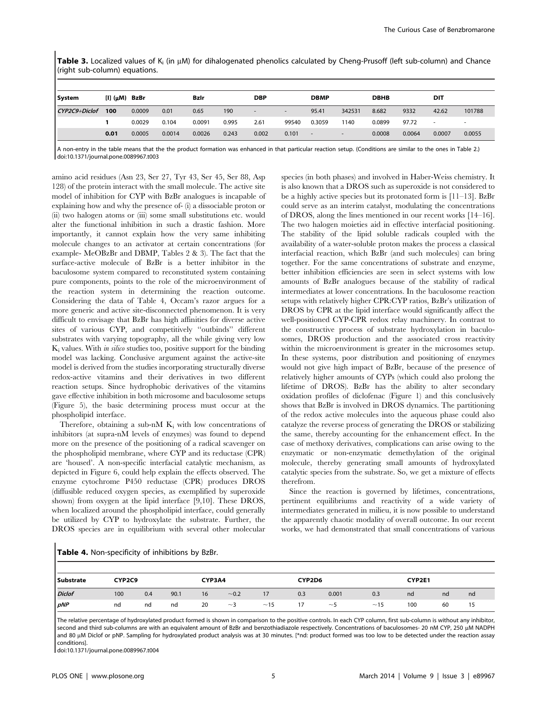Table 3. Localized values of K<sub>i</sub> (in  $\mu$ M) for dihalogenated phenolics calculated by Cheng-Prusoff (left sub-column) and Chance (right sub-column) equations.

| <b>System</b> | $[I]$ ( $\mu$ M) BzBr |        |        | Bzlr   |       | <b>DBP</b> |                          | <b>DBMP</b> |                          | <b>DBHB</b> |        | <b>DIT</b>               |                          |
|---------------|-----------------------|--------|--------|--------|-------|------------|--------------------------|-------------|--------------------------|-------------|--------|--------------------------|--------------------------|
| CYP2C9+Diclof | 100                   | 0.0009 | 0.01   | 0.65   | 190   |            | $\overline{\phantom{a}}$ | 95.41       | 342531                   | 8.682       | 9332   | 42.62                    | 101788                   |
|               |                       | 0.0029 | 0.104  | 0.0091 | 0.995 | 2.61       | 99540                    | 0.3059      | 1140                     | 0.0899      | 97.72  | $\overline{\phantom{a}}$ | $\overline{\phantom{a}}$ |
|               | 0.01                  | 0.0005 | 0.0014 | 0.0026 | 0.243 | 0.002      | 0.101                    | $\sim$      | $\overline{\phantom{a}}$ | 0.0008      | 0.0064 | 0.0007                   | 0.0055                   |

A non-entry in the table means that the the product formation was enhanced in that particular reaction setup. (Conditions are similar to the ones in Table 2.) doi:10.1371/journal.pone.0089967.t003

amino acid residues (Asn 23, Ser 27, Tyr 43, Ser 45, Ser 88, Asp 128) of the protein interact with the small molecule. The active site model of inhibition for CYP with BzBr analogues is incapable of explaining how and why the presence of- (i) a dissociable proton or (ii) two halogen atoms or (iii) some small substitutions etc. would alter the functional inhibition in such a drastic fashion. More importantly, it cannot explain how the very same inhibiting molecule changes to an activator at certain concentrations (for example- MeOBzBr and DBMP, Tables 2 & 3). The fact that the surface-active molecule of BzBr is a better inhibitor in the baculosome system compared to reconstituted system containing pure components, points to the role of the microenvironment of the reaction system in determining the reaction outcome. Considering the data of Table 4, Occam's razor argues for a more generic and active site-disconnected phenomenon. It is very difficult to envisage that BzBr has high affinities for diverse active sites of various CYP, and competitively ''outbinds'' different substrates with varying topography, all the while giving very low  $K_i$  values. With *in silico* studies too, positive support for the binding model was lacking. Conclusive argument against the active-site model is derived from the studies incorporating structurally diverse redox-active vitamins and their derivatives in two different reaction setups. Since hydrophobic derivatives of the vitamins gave effective inhibition in both microsome and baculosome setups (Figure 5), the basic determining process must occur at the phospholipid interface.

Therefore, obtaining a sub-nM  $K_i$  with low concentrations of inhibitors (at supra-nM levels of enzymes) was found to depend more on the presence of the positioning of a radical scavenger on the phospholipid membrane, where CYP and its reductase (CPR) are 'housed'. A non-specific interfacial catalytic mechanism, as depicted in Figure 6, could help explain the effects observed. The enzyme cytochrome P450 reductase (CPR) produces DROS (diffusible reduced oxygen species, as exemplified by superoxide shown) from oxygen at the lipid interface [9,10]. These DROS, when localized around the phospholipid interface, could generally be utilized by CYP to hydroxylate the substrate. Further, the DROS species are in equilibrium with several other molecular species (in both phases) and involved in Haber-Weiss chemistry. It is also known that a DROS such as superoxide is not considered to be a highly active species but its protonated form is [11–13]. BzBr could serve as an interim catalyst, modulating the concentrations of DROS, along the lines mentioned in our recent works [14–16]. The two halogen moieties aid in effective interfacial positioning. The stability of the lipid soluble radicals coupled with the availability of a water-soluble proton makes the process a classical interfacial reaction, which BzBr (and such molecules) can bring together. For the same concentrations of substrate and enzyme, better inhibition efficiencies are seen in select systems with low amounts of BzBr analogues because of the stability of radical intermediates at lower concentrations. In the baculosome reaction setups with relatively higher CPR:CYP ratios, BzBr's utilization of DROS by CPR at the lipid interface would significantly affect the well-positioned CYP-CPR redox relay machinery. In contrast to the constructive process of substrate hydroxylation in baculosomes, DROS production and the associated cross reactivity within the microenvironment is greater in the microsomes setup. In these systems, poor distribution and positioning of enzymes would not give high impact of BzBr, because of the presence of relatively higher amounts of CYPs (which could also prolong the lifetime of DROS). BzBr has the ability to alter secondary oxidation profiles of diclofenac (Figure 1) and this conclusively shows that BzBr is involved in DROS dynamics. The partitioning of the redox active molecules into the aqueous phase could also catalyze the reverse process of generating the DROS or stabilizing the same, thereby accounting for the enhancement effect. In the case of methoxy derivatives, complications can arise owing to the enzymatic or non-enzymatic demethylation of the original molecule, thereby generating small amounts of hydroxylated catalytic species from the substrate. So, we get a mixture of effects therefrom.

Since the reaction is governed by lifetimes, concentrations, pertinent equilibriums and reactivity of a wide variety of intermediates generated in milieu, it is now possible to understand the apparently chaotic modality of overall outcome. In our recent works, we had demonstrated that small concentrations of various

|  | Table 4. Non-specificity of inhibitions by BzBr. |
|--|--------------------------------------------------|
|--|--------------------------------------------------|

| Substrate     | CYP2C9 |     |      |    | CYP3A4   |     |     | CYP2D6 |     |     | CYP2E1 |    |  |
|---------------|--------|-----|------|----|----------|-----|-----|--------|-----|-----|--------|----|--|
| <b>Diclof</b> | 100    | 0.4 | 90.1 | 16 | $-0.2$   |     | 0.3 | 0.001  | 0.3 | nd  | nd     | nd |  |
| $\rho NP$     | nd     | nd  | nd   | 20 | $\sim$ 3 | ~15 |     | $\sim$ | ~15 | 100 | 60     |    |  |

The relative percentage of hydroxylated product formed is shown in comparison to the positive controls. In each CYP column, first sub-column is without any inhibitor, second and third sub-columns are with an equivalent amount of BzBr and benzothiadiazole respectively. Concentrations of baculosomes- 20 nM CYP, 250 µM NADPH and 80 µM Diclof or pNP. Sampling for hydroxylated product analysis was at 30 minutes. [\*nd: product formed was too low to be detected under the reaction assay conditions].

doi:10.1371/journal.pone.0089967.t004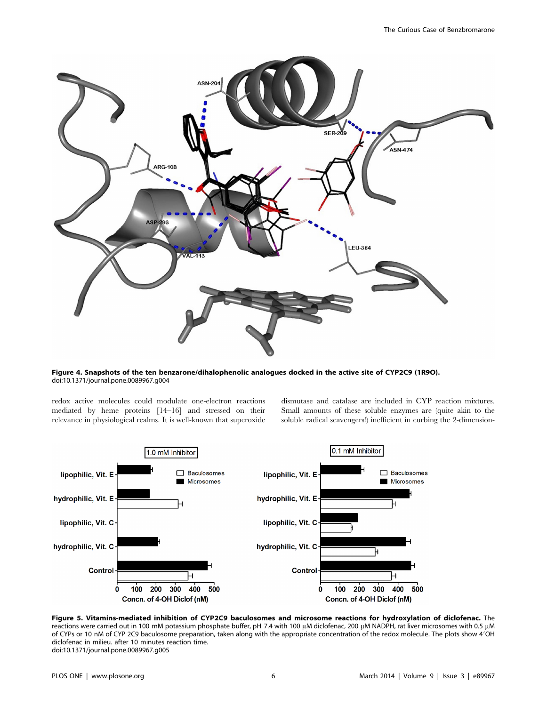

Figure 4. Snapshots of the ten benzarone/dihalophenolic analogues docked in the active site of CYP2C9 (1R9O). doi:10.1371/journal.pone.0089967.g004

redox active molecules could modulate one-electron reactions mediated by heme proteins [14–16] and stressed on their relevance in physiological realms. It is well-known that superoxide dismutase and catalase are included in CYP reaction mixtures. Small amounts of these soluble enzymes are (quite akin to the soluble radical scavengers!) inefficient in curbing the 2-dimension-



Figure 5. Vitamins-mediated inhibition of CYP2C9 baculosomes and microsome reactions for hydroxylation of diclofenac. The reactions were carried out in 100 mM potassium phosphate buffer, pH 7.4 with 100 µM diclofenac, 200 µM NADPH, rat liver microsomes with 0.5 µM of CYPs or 10 nM of CYP 2C9 baculosome preparation, taken along with the appropriate concentration of the redox molecule. The plots show 4'OH diclofenac in milieu. after 10 minutes reaction time. doi:10.1371/journal.pone.0089967.g005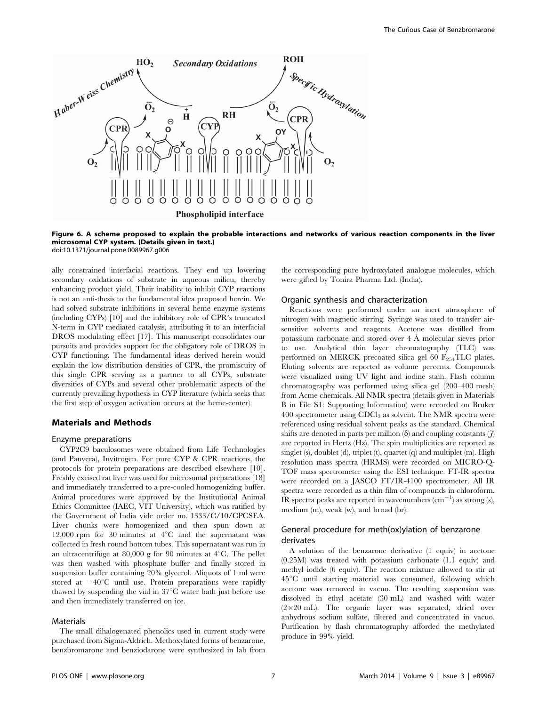

Figure 6. A scheme proposed to explain the probable interactions and networks of various reaction components in the liver microsomal CYP system. (Details given in text.) doi:10.1371/journal.pone.0089967.g006

ally constrained interfacial reactions. They end up lowering secondary oxidations of substrate in aqueous milieu, thereby enhancing product yield. Their inability to inhibit CYP reactions is not an anti-thesis to the fundamental idea proposed herein. We had solved substrate inhibitions in several heme enzyme systems (including CYPs) [10] and the inhibitory role of CPR's truncated N-term in CYP mediated catalysis, attributing it to an interfacial DROS modulating effect [17]. This manuscript consolidates our pursuits and provides support for the obligatory role of DROS in CYP functioning. The fundamental ideas derived herein would explain the low distribution densities of CPR, the promiscuity of this single CPR serving as a partner to all CYPs, substrate diversities of CYPs and several other problematic aspects of the currently prevailing hypothesis in CYP literature (which seeks that the first step of oxygen activation occurs at the heme-center).

## Materials and Methods

## Enzyme preparations

CYP2C9 baculosomes were obtained from Life Technologies (and Panvera), Invitrogen. For pure CYP & CPR reactions, the protocols for protein preparations are described elsewhere [10]. Freshly excised rat liver was used for microsomal preparations [18] and immediately transferred to a pre-cooled homogenizing buffer. Animal procedures were approved by the Institutional Animal Ethics Committee (IAEC, VIT University), which was ratified by the Government of India vide order no. 1333/C/10/CPCSEA. Liver chunks were homogenized and then spun down at 12,000 rpm for 30 minutes at  $4^{\circ}$ C and the supernatant was collected in fresh round bottom tubes. This supernatant was run in an ultracentrifuge at 80,000 g for 90 minutes at  $4^{\circ}$ C. The pellet was then washed with phosphate buffer and finally stored in suspension buffer containing 20% glycerol. Aliquots of 1 ml were stored at  $-40^{\circ}\text{C}$  until use. Protein preparations were rapidly thawed by suspending the vial in  $37^{\circ}$ C water bath just before use and then immediately transferred on ice.

#### Materials

The small dihalogenated phenolics used in current study were purchased from Sigma-Aldrich. Methoxylated forms of benzarone, benzbromarone and benziodarone were synthesized in lab from

the corresponding pure hydroxylated analogue molecules, which were gifted by Tonira Pharma Ltd. (India).

#### Organic synthesis and characterization

Reactions were performed under an inert atmosphere of nitrogen with magnetic stirring. Syringe was used to transfer airsensitive solvents and reagents. Acetone was distilled from potassium carbonate and stored over  $4 \text{ Å}$  molecular sieves prior to use. Analytical thin layer chromatography (TLC) was performed on MERCK precoated silica gel 60  $F_{254}TLC$  plates. Eluting solvents are reported as volume percents. Compounds were visualized using UV light and iodine stain. Flash column chromatography was performed using silica gel (200–400 mesh) from Acme chemicals. All NMR spectra (details given in Materials B in File S1: Supporting Information) were recorded on Bruker  $400$  spectrometer using CDCl<sub>3</sub> as solvent. The NMR spectra were referenced using residual solvent peaks as the standard. Chemical shifts are denoted in parts per million  $(\delta)$  and coupling constants  $(\tilde{\mathcal{J}})$ are reported in Hertz (Hz). The spin multiplicities are reported as singlet (s), doublet (d), triplet (t), quartet (q) and multiplet (m). High resolution mass spectra (HRMS) were recorded on MICRO-Q-TOF mass spectrometer using the ESI technique. FT-IR spectra were recorded on a JASCO FT/IR-4100 spectrometer. All IR spectra were recorded as a thin film of compounds in chloroform. IR spectra peaks are reported in wavenumbers  $\text{cm}^{-1}$ ) as strong (s), medium (m), weak (w), and broad (br).

# General procedure for meth(ox)ylation of benzarone derivates

A solution of the benzarone derivative (1 equiv) in acetone (0.25M) was treated with potassium carbonate (1.1 equiv) and methyl iodide (6 equiv). The reaction mixture allowed to stir at  $45^{\circ}$ C until starting material was consumed, following which acetone was removed in vacuo. The resulting suspension was dissolved in ethyl acetate (30 mL) and washed with water (2×20 mL). The organic layer was separated, dried over anhydrous sodium sulfate, filtered and concentrated in vacuo. Purification by flash chromatography afforded the methylated produce in 99% yield.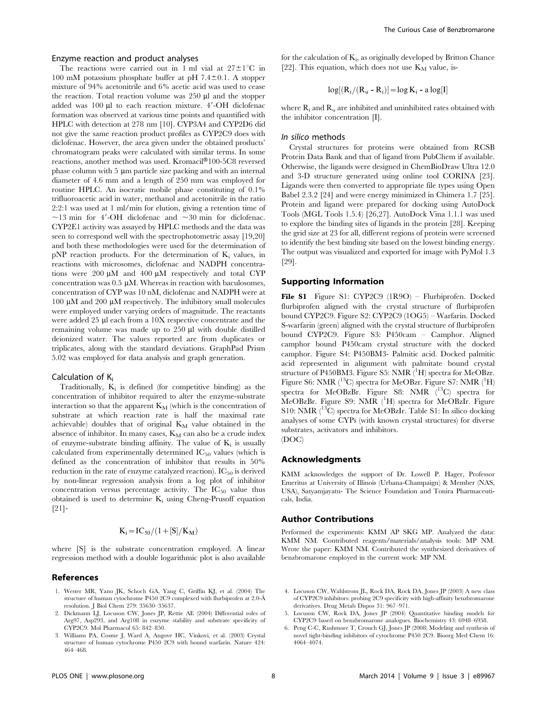## Enzyme reaction and product analyses

The reactions were carried out in 1 ml vial at  $27 \pm 1$ °C in 100 mM potassium phosphate buffer at pH  $7.4\pm0.1$ . A stopper mixture of 94% acetonitrile and 6% acetic acid was used to cease the reaction. Total reaction volume was  $250 \mu l$  and the stopper added was  $100 \mu l$  to each reaction mixture.  $4'$ -OH diclofenac formation was observed at various time points and quantified with HPLC with detection at 278 nm [10]. CYP3A4 and CYP2D6 did not give the same reaction product profiles as CYP2C9 does with diclofenac. However, the area given under the obtained products' chromatogram peaks were calculated with similar terms. In some reactions, another method was used. Kromacil®100-5C8 reversed  $phase$  column with  $5 \mu m$  particle size packing and with an internal diameter of 4.6 mm and a length of 250 mm was employed for routine HPLC. An isocratic mobile phase constituting of 0.1% trifluoroacetic acid in water, methanol and acetonitrile in the ratio 2:2:1 was used at 1 ml/min for elution, giving a retention time of  $\sim$ 13 min for 4'-OH diclofenac and  $\sim$ 30 min for diclofenac. CYP2E1 activity was assayed by HPLC methods and the data was seen to correspond well with the spectrophotometric assay [19,20] and both these methodologies were used for the determination of  $pNP$  reaction products. For the determination of  $K_i$  values, in reactions with microsomes, diclofenac and NADPH concentrations were  $200 \mu M$  and  $400 \mu M$  respectively and total CYP concentration was  $0.5 \mu M$ . Whereas in reaction with baculosomes, concentration of CYP was 10 nM, diclofenac and NADPH were at 100  $\mu$ M and 200  $\mu$ M respectively. The inhibitory small molecules were employed under varying orders of magnitude. The reactants were added  $25 \mu$ l each from a  $10X$  respective concentrate and the remaining volume was made up to 250 µl with double distilled deionized water. The values reported are from duplicates or triplicates, along with the standard deviations. GraphPad Prism 5.02 was employed for data analysis and graph generation.

#### Calculation of Ki

Traditionally,  $K_i$  is defined (for competitive binding) as the concentration of inhibitor required to alter the enzyme-substrate interaction so that the apparent  $K_M$  (which is the concentration of substrate at which reaction rate is half the maximal rate achievable) doubles that of original  $K_M$  value obtained in the absence of inhibitor. In many cases,  $K_M$  can also be a crude index of enzyme-substrate binding affinity. The value of  $K_i$  is usually calculated from experimentally determined  $IC_{50}$  values (which is defined as the concentration of inhibitor that results in 50% reduction in the rate of enzyme catalyzed reaction).  $IC_{50}$  is derived by non-linear regression analysis from a log plot of inhibitor concentration versus percentage activity. The  $IC_{50}$  value thus obtained is used to determine  $K_i$  using Cheng-Prusoff equation [21]-

$$
K_i\!=\!IC_{50}/(1\!+\![S]/K_M)
$$

where [S] is the substrate concentration employed. A linear regression method with a double logarithmic plot is also available

## References

- 1. Wester MR, Yano JK, Schoch GA, Yang C, Griffin KJ, et al. (2004) The structure of human cytochrome P450 2C9 complexed with flurbiprofen at 2.0-Å resolution. J Biol Chem 279: 35630–35637.
- 2. Dickmann LJ, Locuson CW, Jones JP, Rettie AE (2004) Differential roles of Arg97, Asp293, and Arg108 in enzyme stability and substrate specificity of CYP2C9. Mol Pharmacol 65: 842–850.
- 3. Williams PA, Cosme J, Ward A, Angove HC, Vinkovi, et al. (2003) Crystal structure of human cytochrome P450 2C9 with bound warfarin. Nature 424: 464–468.

for the calculation of  $K_i$ , as originally developed by Britton Chance [22]. This equation, which does not use  $K_M$  value, is-

$$
log[(R_i/(R_u - R_i)] = log K_i - a log[I]
$$

where  $R_i$  and  $R_u$  are inhibited and uninhibited rates obtained with the inhibitor concentration [I].

#### In silico methods

Crystal structures for proteins were obtained from RCSB Protein Data Bank and that of ligand from PubChem if available. Otherwise, the ligands were designed in ChemBioDraw Ultra 12.0 and 3-D structure generated using online tool CORINA [23]. Ligands were then converted to appropriate file types using Open Babel 2.3.2 [24] and were energy minimized in Chimera 1.7 [25]. Protein and ligand were prepared for docking using AutoDock Tools (MGL Tools 1.5.4) [26,27]. AutoDock Vina 1.1.1 was used to explore the binding sites of ligands in the protein [28]. Keeping the grid size at 23 for all, different regions of protein were screened to identify the best binding site based on the lowest binding energy. The output was visualized and exported for image with PyMol 1.3 [29].

## Supporting Information

File S1 Figure S1: CYP2C9 (1R9O) – Flurbiprofen. Docked flurbiprofen aligned with the crystal structure of flurbiprofen bound CYP2C9. Figure S2: CYP2C9 (1OG5) – Warfarin. Docked S-warfarin (green) aligned with the crystal structure of flurbiprofen bound CYP2C9. Figure S3: P450cam – Camphor. Aligned camphor bound P450cam crystal structure with the docked camphor. Figure S4: P450BM3- Palmitic acid. Docked palmitic acid represented in alignment with palmitate bound crystal structure of P450BM3. Figure S5: NMR (<sup>1</sup>H) spectra for MeOBzr. Figure S6: NMR ( $^{13}$ C) spectra for MeOBzr. Figure S7: NMR ( $^{1}$ H) spectra for MeOBzBr. Figure S8: NMR  $(13)$ C) spectra for MeOBzBr. Figure S9: NMR (<sup>1</sup>H) spectra for MeOBzIr. Figure S10: NMR  $(^{13}C)$  spectra for MeOBzIr. Table S1: In silico docking analyses of some CYPs (with known crystal structures) for diverse substrates, activators and inhibitors. (DOC)

#### Acknowledgments

KMM acknowledges the support of Dr. Lowell P. Hager, Professor Emeritus at University of Illinois (Urbana-Champaign) & Member (NAS, USA), Satyamjayatu- The Science Foundation and Tonira Pharmaceuticals, India.

#### Author Contributions

Performed the experiments: KMM AP SKG MP. Analyzed the data: KMM NM. Contributed reagents/materials/analysis tools: MP NM. Wrote the paper: KMM NM. Contributed the synthesized derivatives of benzbromarone employed in the current work: MP NM.

- 4. Locuson CW, Wahlstrom JL, Rock DA, Rock DA, Jones JP (2003) A new class of CYP2C9 inhibitors: probing 2C9 specificity with high-affinity benzbromarone derivatives. Drug Metab Dispos 31: 967–971.
- 5. Locuson CW, Rock DA, Jones JP (2004) Quantitative binding models for CYP2C9 based on benzbromarone analogues. Biochemistry 43: 6948–6958.
- 6. Peng C-C, Rushmore T, Crouch GJ, Jones JP (2008) Modeling and synthesis of novel tight-binding inhibitors of cytochrome P450 2C9. Bioorg Med Chem 16: 4064–4074.